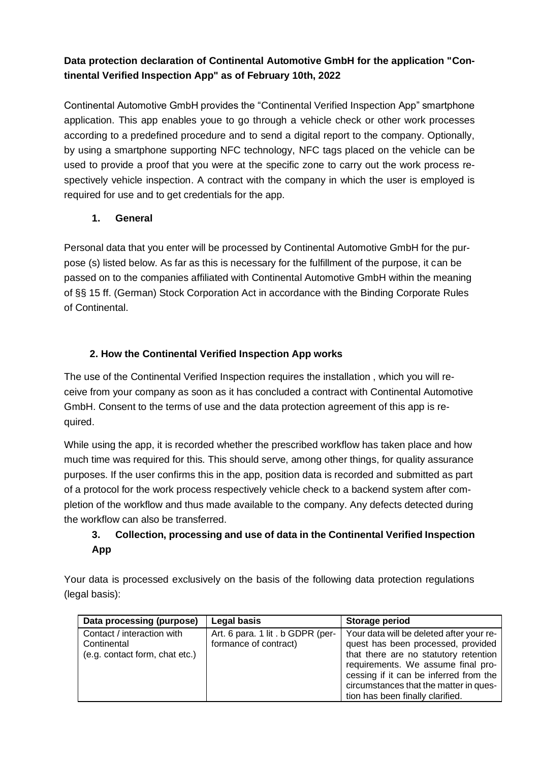# **Data protection declaration of Continental Automotive GmbH for the application "Continental Verified Inspection App" as of February 10th, 2022**

Continental Automotive GmbH provides the "Continental Verified Inspection App" smartphone application. This app enables youe to go through a vehicle check or other work processes according to a predefined procedure and to send a digital report to the company. Optionally, by using a smartphone supporting NFC technology, NFC tags placed on the vehicle can be used to provide a proof that you were at the specific zone to carry out the work process respectively vehicle inspection. A contract with the company in which the user is employed is required for use and to get credentials for the app.

## **1. General**

Personal data that you enter will be processed by Continental Automotive GmbH for the purpose (s) listed below. As far as this is necessary for the fulfillment of the purpose, it can be passed on to the companies affiliated with Continental Automotive GmbH within the meaning of §§ 15 ff. (German) Stock Corporation Act in accordance with the Binding Corporate Rules of Continental.

## **2. How the Continental Verified Inspection App works**

The use of the Continental Verified Inspection requires the installation , which you will receive from your company as soon as it has concluded a contract with Continental Automotive GmbH. Consent to the terms of use and the data protection agreement of this app is required.

While using the app, it is recorded whether the prescribed workflow has taken place and how much time was required for this. This should serve, among other things, for quality assurance purposes. If the user confirms this in the app, position data is recorded and submitted as part of a protocol for the work process respectively vehicle check to a backend system after completion of the workflow and thus made available to the company. Any defects detected during the workflow can also be transferred.

# **3. Collection, processing and use of data in the Continental Verified Inspection App**

Your data is processed exclusively on the basis of the following data protection regulations (legal basis):

| Data processing (purpose)                                                   | Legal basis                                               | Storage period                                                                                                                                                                                                                                                                        |
|-----------------------------------------------------------------------------|-----------------------------------------------------------|---------------------------------------------------------------------------------------------------------------------------------------------------------------------------------------------------------------------------------------------------------------------------------------|
| Contact / interaction with<br>Continental<br>(e.g. contact form, chat etc.) | Art. 6 para. 1 lit. b GDPR (per-<br>formance of contract) | Your data will be deleted after your re-<br>quest has been processed, provided<br>that there are no statutory retention<br>requirements. We assume final pro-<br>cessing if it can be inferred from the<br>circumstances that the matter in ques-<br>tion has been finally clarified. |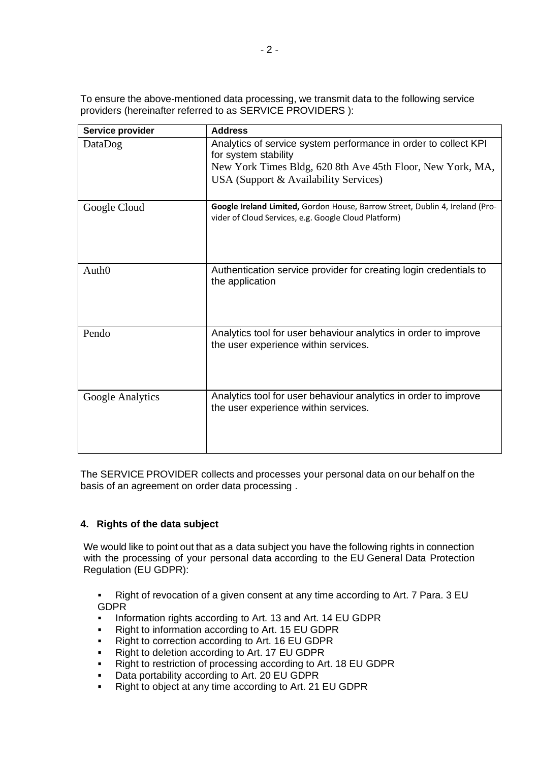To ensure the above-mentioned data processing, we transmit data to the following service providers (hereinafter referred to as SERVICE PROVIDERS ):

| Service provider  | <b>Address</b>                                                                                                                                                                                 |
|-------------------|------------------------------------------------------------------------------------------------------------------------------------------------------------------------------------------------|
| DataDog           | Analytics of service system performance in order to collect KPI<br>for system stability<br>New York Times Bldg, 620 8th Ave 45th Floor, New York, MA,<br>USA (Support & Availability Services) |
| Google Cloud      | Google Ireland Limited, Gordon House, Barrow Street, Dublin 4, Ireland (Pro-<br>vider of Cloud Services, e.g. Google Cloud Platform)                                                           |
| Auth <sub>0</sub> | Authentication service provider for creating login credentials to<br>the application                                                                                                           |
| Pendo             | Analytics tool for user behaviour analytics in order to improve<br>the user experience within services.                                                                                        |
| Google Analytics  | Analytics tool for user behaviour analytics in order to improve<br>the user experience within services.                                                                                        |

The SERVICE PROVIDER collects and processes your personal data on our behalf on the basis of an agreement on order data processing .

### **4. Rights of the data subject**

We would like to point out that as a data subject you have the following rights in connection with the processing of your personal data according to the EU General Data Protection Regulation (EU GDPR):

▪ Right of revocation of a given consent at any time according to Art. 7 Para. 3 EU GDPR

- Information rights according to Art. 13 and Art. 14 EU GDPR
- Right to information according to Art. 15 EU GDPR
- Right to correction according to Art. 16 EU GDPR
- Right to deletion according to Art. 17 EU GDPR
- Right to restriction of processing according to Art. 18 EU GDPR
- Data portability according to Art. 20 EU GDPR
- Right to object at any time according to Art. 21 EU GDPR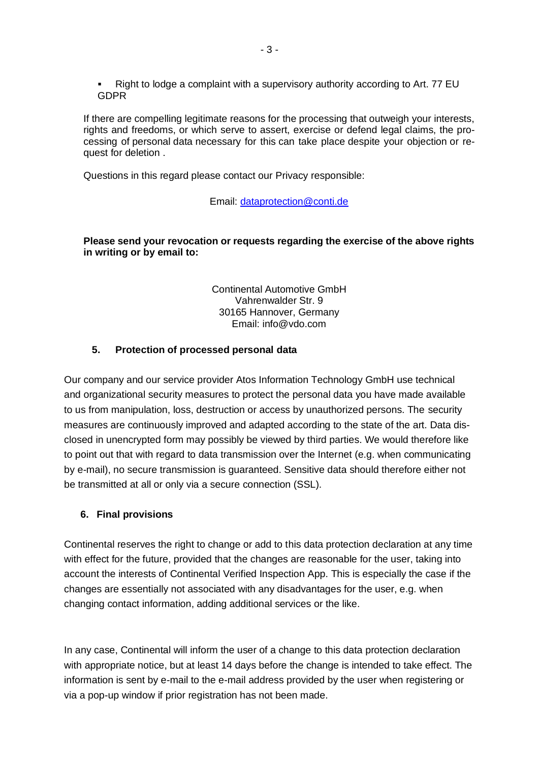Right to lodge a complaint with a supervisory authority according to Art. 77 EU GDPR

If there are compelling legitimate reasons for the processing that outweigh your interests, rights and freedoms, or which serve to assert, exercise or defend legal claims, the processing of personal data necessary for this can take place despite your objection or request for deletion .

Questions in this regard please contact our Privacy responsible:

#### Email: [dataprotection@conti.de](mailto:dataprotection@conti.de)

#### **Please send your revocation or requests regarding the exercise of the above rights in writing or by email to:**

Continental Automotive GmbH Vahrenwalder Str. 9 30165 Hannover, Germany Email: info@vdo.com

### **5. Protection of processed personal data**

Our company and our service provider Atos Information Technology GmbH use technical and organizational security measures to protect the personal data you have made available to us from manipulation, loss, destruction or access by unauthorized persons. The security measures are continuously improved and adapted according to the state of the art. Data disclosed in unencrypted form may possibly be viewed by third parties. We would therefore like to point out that with regard to data transmission over the Internet (e.g. when communicating by e-mail), no secure transmission is guaranteed. Sensitive data should therefore either not be transmitted at all or only via a secure connection (SSL).

### **6. Final provisions**

Continental reserves the right to change or add to this data protection declaration at any time with effect for the future, provided that the changes are reasonable for the user, taking into account the interests of Continental Verified Inspection App. This is especially the case if the changes are essentially not associated with any disadvantages for the user, e.g. when changing contact information, adding additional services or the like.

In any case, Continental will inform the user of a change to this data protection declaration with appropriate notice, but at least 14 days before the change is intended to take effect. The information is sent by e-mail to the e-mail address provided by the user when registering or via a pop-up window if prior registration has not been made.